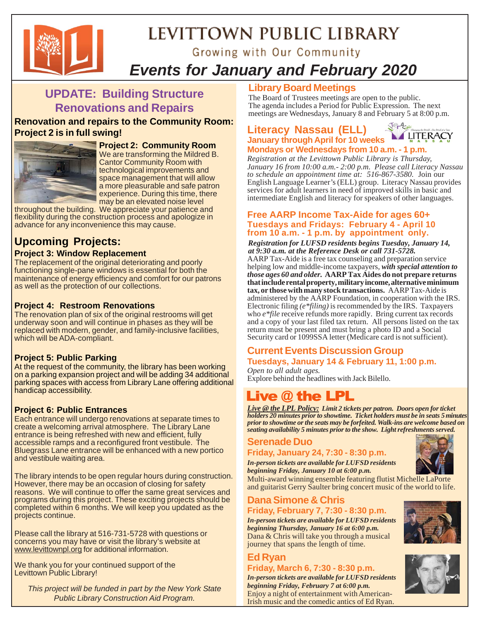

# LEVITTOWN PUBLIC LIBRARY

Growing with Our Community

# *Events for January and February 2020*

# **UPDATE: Building Structure Renovations and Repairs**

#### **Renovation and repairs to the Community Room: Project 2 is in full swing!**



### **Project 2: Community Room**

We are transforming the Mildred B. Cantor Community Room with technological improvements and space management that will allow a more pleasurable and safe patron experience. During this time, there may be an elevated noise level

throughout the building. We appreciate your patience and flexibility during the construction process and apologize in advance for any inconvenience this may cause.

# **Upcoming Projects:**

#### **Project 3: Window Replacement**

The replacement of the original deteriorating and poorly functioning single-pane windows is essential for both the maintenance of energy efficiency and comfort for our patrons as well as the protection of our collections.

#### **Project 4: Restroom Renovations**

The renovation plan of six of the original restrooms will get underway soon and will continue in phases as they will be replaced with modern, gender, and family-inclusive facilities, which will be ADA-compliant.

#### **Project 5: Public Parking**

At the request of the community, the library has been working on a parking expansion project and will be adding 34 additional parking spaces with access from Library Lane offering additional handicap accessibility.

#### **Project 6: Public Entrances**

Each entrance will undergo renovations at separate times to create a welcoming arrival atmosphere. The Library Lane entrance is being refreshed with new and efficient, fully accessible ramps and a reconfigured front vestibule. The Bluegrass Lane entrance will be enhanced with a new portico and vestibule waiting area.

The library intends to be open regular hours during construction. However, there may be an occasion of closing for safety reasons. We will continue to offer the same great services and programs during this project. These exciting projects should be completed within 6 months. We will keep you updated as the projects continue.

Please call the library at 516-731-5728 with questions or concerns you may have or visit the library's website at www.levittownpl.org for additional information.

We thank you for your continued support of the Levittown Public Library!

*This project will be funded in part by the New York State Public Library Construction Aid Program.*

#### **Library Board Meetings**

The Board of Trustees meetings are open to the public. The agenda includes a Period for Public Expression. The next meetings are Wednesdays, January 8 and February 5 at 8:00 p.m.

#### Jerte **Literacy Nassau (ELL)** LITERACY **January through April for 10 weeks Mondays or Wednesdays from 10 a.m. - 1 p.m.**

*Registration at the Levittown Public Library is Thursday, January 16 from 10:00 a.m.- 2:00 p.m. Please call Literacy Nassau to schedule an appointment time at: 516-867-3580.* Join our English Language Learner's (ELL) group. Literacy Nassau provides services for adult learners in need of improved skills in basic and intermediate English and literacy for speakers of other languages.

#### **Free AARP Income Tax-Aide for ages 60+ Tuesdays and Fridays: February 4 - April 10 from 10 a.m. - 1 p.m. by appointment only.**

*Registration for LUFSD residents begins Tuesday, January 14, at 9:30 a.m. at the Reference Desk or call 731-5728.* AARP Tax-Aide is a free tax counseling and preparation service helping low and middle-income taxpayers, *with special attention to those ages 60 and older.* **AARP Tax Aides do not prepare returns that include rental property, military income, alternative minimum tax, or those with many stock transactions.** AARP Tax-Aide is administered by the AARP Foundation, in cooperation with the IRS. Electronic filing *(e\*filing)* is recommended by the IRS. Taxpayers who *e\*file* receive refunds more rapidly. Bring current tax records and a copy of your last filed tax return. All persons listed on the tax return must be present and must bring a photo ID and a Social Security card or 1099SSA letter (Medicare card is not sufficient).

#### **Current Events Discussion Group Tuesdays, January 14 & February 11, 1:00 p.m.** *Open to all adult ages.*

Explore behind the headlines with Jack Bilello.

# Live  $@$  the LPL

*Live @ the LPL Policy: Limit 2 tickets per patron. Doors open for ticket holders 20 minutes prior to showtime. Ticket holders must be in seats 5 minutes prior to showtime or the seats may be forfeited. Walk-ins are welcome based on seating availability 5 minutes prior to the show. Light refreshments served.*

#### **Serenade Duo**

#### **Friday, January 24, 7:30 - 8:30 p.m.**

*In-person tickets are available for LUFSD residents beginning Friday, January 10 at 6:00 p.m.*

Multi-award winning ensemble featuring flutist Michelle LaPorte and guitarist Gerry Saulter bring concert music of the world to life.

## **Dana Simone & Chris**

#### **Friday, February 7, 7:30 - 8:30 p.m.**

*In-person tickets are available for LUFSD residents beginning Thursday, January 16 at 6:00 p.m.* Dana & Chris will take you through a musical journey that spans the length of time.

#### **Ed Ryan Friday, March 6, 7:30 - 8:30 p.m.**

*In-person tickets are available for LUFSD residents beginning Friday, February 7 at 6:00 p.m.* Enjoy a night of entertainment with American-Irish music and the comedic antics of Ed Ryan.



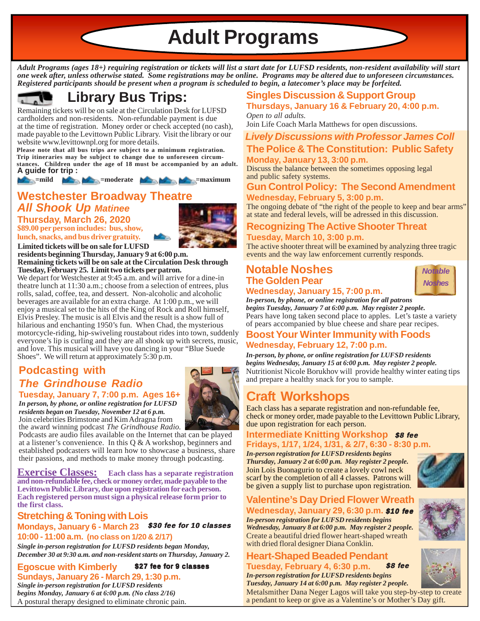**Adult Programs**

*Adult Programs (ages 18+) requiring registration or tickets will list a start date for LUFSD residents, non-resident availability will start one week after, unless otherwise stated. Some registrations may be online. Programs may be altered due to unforeseen circumstances. Registered participants should be present when a program is scheduled to begin, a latecomer's place may be forfeited.*



# **Library Bus Trips:**

Remaining tickets will be on sale at the Circulation Desk for LUFSD cardholders and non-residents. Non-refundable payment is due at the time of registration. Money order or check accepted (no cash), made payable to the Levittown Public Library. Visit the library or our website www.levittownpl.org for more details.

**Please note that all bus trips are subject to a minimum registration. Trip itineraries may be subject to change due to unforeseen circumstances. Children under the age of 18 must be accompanied by an adult. A guide for trip :**

**Example 3 = moderate ACC** = maximum

#### **Westchester Broadway Theatre** *All Shook Up Matinee*

**\$89.00 per person includes: bus, show, lunch, snacks, and bus driver gratuity. Thursday, March 26, 2020**



**Limited tickets will be on sale for LUFSD residents beginning Thursday, January 9 at 6:00 p.m.**

**Remaining tickets will be on sale at the Circulation Desk through Tuesday, February 25. Limit two tickets per patron.**

We depart for Westchester at 9:45 a.m. and will arrive for a dine-in theatre lunch at 11:30 a.m.; choose from a selection of entrees, plus rolls, salad, coffee, tea, and dessert. Non-alcoholic and alcoholic beverages are available for an extra charge. At 1:00 p.m., we will enjoy a musical set to the hits of the King of Rock and Roll himself, Elvis Presley. The music is all Elvis and the result is a show full of hilarious and enchanting 1950's fun. When Chad, the mysterious motorcycle-riding, hip-swiveling roustabout rides into town, suddenly everyone's lip is curling and they are all shook up with secrets, music, and love. This musical will have you dancing in your "Blue Suede Shoes". We will return at approximately 5:30 p.m.

# **Podcasting with** *The Grindhouse Radio*

#### **Tuesday, January 7, 7:00 p.m. Ages 16+**

*In person, by phone, or online registration for LUFSD residents began on Tuesday, November 12 at 6 p.m.* Join celebrities Brimstone and Kim Adragna from the award winning podcast *The Grindhouse Radio.*

Podcasts are audio files available on the Internet that can be played at a listener's convenience. In this Q & A workshop, beginners and established podcasters will learn how to showcase a business, share their passions, and methods to make money through podcasting.

**Exercise Classes: Each class has a separate registration and non-refundable fee, check or money order, made payable to the Levittown Public Library, due upon registration for each person. Each registered person must sign a physical release form prior to the first class.**

#### **Stretching & Toning with Lois Mondays, January 6 - March 23** \$30 fee for 10 classes

**10:00 - 11:00 a.m. (no class on 1/20 & 2/17)**

*Single in-person registration for LUFSD residents began Monday, December 30 at 9:30 a.m. and non-resident starts on Thursday, January 2.*

**Egoscue with Kimberly Sundays, January 26 - March 29, 1:30 p.m.** \$27 fee for 9 classes

*Single in-person registration for LUFSD residents begins Monday, January 6 at 6:00 p.m. (No class 2/16)* A postural therapy designed to eliminate chronic pain.

# **Singles Discussion & Support Group**

**Thursdays, January 16 & February 20, 4:00 p.m.** *Open to all adults.*

Join Life Coach Marla Matthews for open discussions.

**The Police & The Constitution: Public Safety Monday, January 13, 3:00 p.m.**  *Lively Discussions with Professor James Coll*

Discuss the balance between the sometimes opposing legal and public safety systems.

#### **Gun Control Policy: The Second Amendment Wednesday, February 5, 3:00 p.m.**

The ongoing debate of "the right of the people to keep and bear arms" at state and federal levels, will be adressed in this discussion.

#### **Recognizing The Active Shooter Threat Tuesday, March 10, 3:00 p.m.**

The active shooter threat will be examined by analyzing three tragic events and the way law enforcement currently responds.

### **Notable Noshes The Golden Pear**

# **Wednesday, January 15, 7:00 p.m.**

*In-person, by phone, or online registration for all patrons begins Tuesday, January 7 at 6:00 p.m. May register 2 people.* Pears have long taken second place to apples. Let's taste a variety of pears accompanied by blue cheese and share pear recipes.

#### **Boost Your Winter Immunity with Foods Wednesday, February 12, 7:00 p.m.**

Nutritionist Nicole Borukhov will provide healthy winter eating tips and prepare a healthy snack for you to sample. *In-person, by phone, or online registration for LUFSD residents begins Wednesday, January 15 at 6:00 p.m. May register 2 people.*

# **Craft Workshops**

Each class has a separate registration and non-refundable fee, check or money order, made payable to the Levittown Public Library, due upon registration for each person.

#### **Intermediate Knitting Workshop** \$8 fee **Fridays, 1/17, 1/24, 1/31, & 2/7, 6:30 - 8:30 p.m.**

Join Lois Buonagurio to create a lovely cowl neck scarf by the completion of all 4 classes. Patrons will be given a supply list to purchase upon registration. *In-person registration for LUFSD residents begins Thursday, January 2 at 6:00 p.m. May register 2 people.*



*Notable Noshes*

#### **Valentine's Day Dried Flower Wreath** Wednesday, January 29, 6:30 p.m. \$10 fee

Create a beautiful dried flower heart-shaped wreath with dried floral designer Diana Conklin. *In-person registration for LUFSD residents begins Wednesday, January 8 at 6:00 p.m. May register 2 people.*

# **Heart-Shaped Beaded Pendant**

*In-person registration for LUFSD residents begins Tuesday, January 14 at 6:00 p.m. May register 2 people.* \$8 fee **Tuesday, February 4, 6:30 p.m.**

Metalsmither Dana Neger Lagos will take you step-by-step to create a pendant to keep or give as a Valentine's or Mother's Day gift.





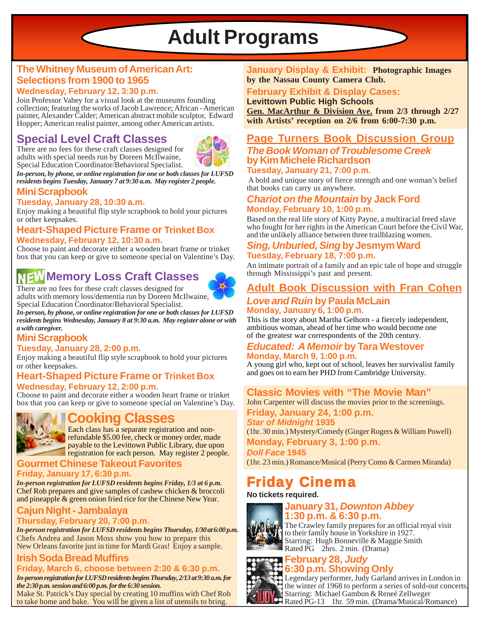# **Adult Programs**

### **The Whitney Museum of American Art: Selections from 1900 to 1965**

#### **Wednesday, February 12, 3:30 p.m.**

Join Professor Vahey for a visual look at the museums founding collection; featuring the works of Jacob Lawrence; African - American painter, Alexander Calder; American abstract mobile sculptor, Edward Hopper; American realist painter, among other American artists.

# **Special Level Craft Classes**

There are no fees for these craft classes designed for adults with special needs run by Doreen McIlwaine, Special Education Coordinator/Behavioral Specialist.



*In-person, by phone, or online registration for one or both classes for LUFSD residents begins Tuesday, January 7 at 9:30 a.m. May register 2 people.*

#### **Mini Scrapbook**

#### **Tuesday, January 28, 10:30 a.m.**

Enjoy making a beautiful flip style scrapbook to hold your pictures or other keepsakes.

#### **Heart-Shaped Picture Frame or Trinket Box Wednesday, February 12, 10:30 a.m.**

Choose to paint and decorate either a wooden heart frame or trinket box that you can keep or give to someone special on Valentine's Day.

# **MEW Memory Loss Craft Classes**



There are no fees for these craft classes designed for adults with memory loss/dementia run by Doreen McIlwaine, Special Education Coordinator/Behavioral Specialist.

*In-person, by phone, or online registration for one or both classes for LUFSD residents begins Wednesday, January 8 at 9:30 a.m. May register alone or with a with caregiver.*

#### **Mini Scrapbook**

#### **Tuesday, January 28, 2:00 p.m.**

Enjoy making a beautiful flip style scrapbook to hold your pictures or other keepsakes.

#### **Heart-Shaped Picture Frame or Trinket Box**

#### **Wednesday, February 12, 2:00 p.m.**

Choose to paint and decorate either a wooden heart frame or trinket box that you can keep or give to someone special on Valentine's Day.



# **Coking C**

Each class has a separate registration and nonrefundable \$5.00 fee, check or money order, made payable to the Levittown Public Library, due upon registration for each person. May register 2 people.

#### **Gourmet Chinese Takeout Favorites Friday, January 17, 6:30 p.m.**

Chef Rob prepares and give samples of cashew chicken & broccoli and pineapple & green onion fried rice for the Chinese New Year. *In-person registration for LUFSD residents begins Friday, 1/3 at 6 p.m.*

# **Cajun Night - Jambalaya**

#### **Thursday, February 20, 7:00 p.m.**

*In-person registration for LUFSD residents begins Thursday, 1/30 at 6:00 p.m.* Chefs Andrea and Jason Moss show you how to prepare this New Orleans favorite just in time for Mardi Gras! Enjoy a sample.

#### **Irish Soda Bread Muffins Friday, March 6, choose between 2:30 & 6:30 p.m.**

*In-person registration for LUFSD residents begins Thursday, 2/13 at 9:30 a.m. for the 2:30 p.m. session and 6:00 p.m. for the 6:30 session.*

Make St. Patrick's Day special by creating 10 muffins with Chef Rob to take home and bake. You will be given a list of utensils to bring.

**January Display & Exhibit: Photographic Images by the Nassau County Camera Club.**

#### **February Exhibit & Display Cases:**

**Levittown Public High Schools**

**Gen. MacArthur & Division Ave. from 2/3 through 2/27 with Artists' reception on 2/6 from 6:00-7:30 p.m.**

#### **Page Turners Book Discussion Group** *The Book Woman of Troublesome Creek* **by Kim Michele Richardson**

**Tuesday, January 21, 7:00 p.m.**

 A bold and unique story of fierce strength and one woman's belief that books can carry us anywhere.

#### *Chariot on the Mountain* **by Jack Ford Monday, February 10, 1:00 p.m.**

Based on the real life story of Kitty Payne, a multiracial freed slave who fought for her rights in the American Court before the Civil War, and the unlikely alliance between three trailblazing women.

#### *Sing, Unburied, Sing* **by Jesmym Ward Tuesday, February 18, 7:00 p.m.**

An intimate portrait of a family and an epic tale of hope and struggle through Mississippi's past and present.

#### **Adult Book Discussion with Fran Cohen** *Love and Ruin* **by Paula McLain Monday, January 6, 1:00 p.m.**

This is the story about Martha Gelhorn - a fiercely independent, ambitious woman, ahead of her time who would become one of the greatest war correspondents of the 20th century.

#### *Educated: A Memoir* **by Tara Westover Monday, March 9, 1:00 p.m.**

A young girl who, kept out of school, leaves her survivalist family and goes on to earn her PHD from Cambridge University.

#### **Classic Movies with "The Movie Man"**

John Carpenter will discuss the movies prior to the screenings.

**Friday, January 24, 1:00 p.m.** *Star of Midnight* **1935** (1hr. 30 min.) Mystery/Comedy (Ginger Rogers & William Powell)

**Monday, February 3, 1:00 p.m.** *Doll Face* **1945**

(1hr. 23 min.) Romance/Musical (Perry Como & Carmen Miranda)

# Friday Cinema

#### **No tickets required.**



# **January 31,** *Downton Abbey* **1:30 p.m. & 6:30 p.m.**

The Crawley family prepares for an official royal visit to their family house in Yorkshire in 1927. Starring: Hugh Bonneville & Maggie Smith Rated PG 2hrs. 2 min. (Drama)



# **February 28,** *Judy* **6:30 p.m. Showing Only**

Legendary performer, Judy Garland arrives in London in the winter of 1968 to perform a series of sold-out concerts. Starring: Michael Gambon & Reneé Zellweger Rated PG-13 1hr. 59 min. (Drama/Musical/Romance)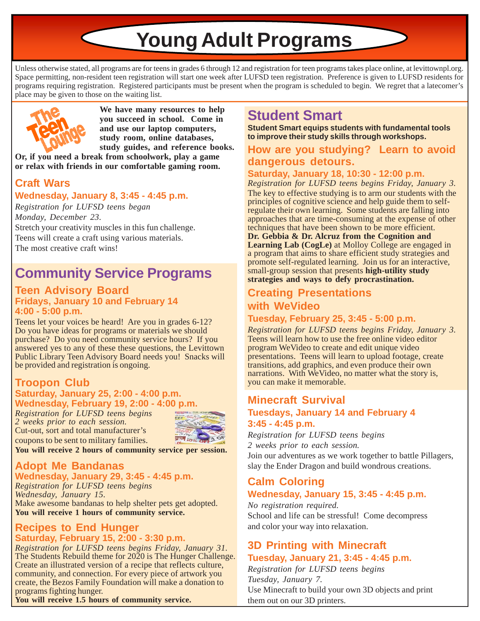**Young Adult Programs**

Unless otherwise stated, all programs are for teens in grades 6 through 12 and registration for teen programs takes place online, at levittownpl.org. Space permitting, non-resident teen registration will start one week after LUFSD teen registration. Preference is given to LUFSD residents for programs requiring registration. Registered participants must be present when the program is scheduled to begin. We regret that a latecomer's place may be given to those on the waiting list.



**We have many resources to help you succeed in school. Come in and use our laptop computers, study room, online databases, study guides, and reference books.**

**Or, if you need a break from schoolwork, play a game or relax with friends in our comfortable gaming room.**

## **Craft Wars**

#### **Wednesday, January 8, 3:45 - 4:45 p.m.**

*Registration for LUFSD teens began Monday, December 23.*

Stretch your creativity muscles in this fun challenge. Teens will create a craft using various materials. The most creative craft wins!

# **Community Service Programs**

#### **Teen Advisory Board Fridays, January 10 and February 14 4:00 - 5:00 p.m.**

Teens let your voices be heard! Are you in grades 6-12? Do you have ideas for programs or materials we should purchase? Do you need community service hours? If you answered yes to any of these these questions, the Levittown Public Library Teen Advisory Board needs you! Snacks will be provided and registration is ongoing.

# **Troopon Club**

#### **Saturday, January 25, 2:00 - 4:00 p.m. Wednesday, February 19, 2:00 - 4:00 p.m.**

*Registration for LUFSD teens begins 2 weeks prior to each session.* Cut-out, sort and total manufacturer's coupons to be sent to military families.



**You will receive 2 hours of community service per session.**

# **Adopt Me Bandanas**

**Wednesday, January 29, 3:45 - 4:45 p.m.** *Registration for LUFSD teens begins Wednesday, January 15.* Make awesome bandanas to help shelter pets get adopted. **You will receive 1 hours of community service.**

#### **Recipes to End Hunger Saturday, February 15, 2:00 - 3:30 p.m.**

*Registration for LUFSD teens begins Friday, January 31.* The Students Rebuild theme for 2020 is The Hunger Challenge. Create an illustrated version of a recipe that reflects culture, community, and connection. For every piece of artwork you create, the Bezos Family Foundation will make a donation to programs fighting hunger.

**You will receive 1.5 hours of community service.**

# **Student Smart**

**Student Smart equips students with fundamental tools to improve their study skills through workshops.**

#### **How are you studying? Learn to avoid dangerous detours.**

#### **Saturday, January 18, 10:30 - 12:00 p.m.**

*Registration for LUFSD teens begins Friday, January 3.* The key to effective studying is to arm our students with the principles of cognitive science and help guide them to selfregulate their own learning. Some students are falling into approaches that are time-consuming at the expense of other techniques that have been shown to be more efficient. **Dr. Gebbia & Dr. Alcruz from the Cognition and Learning Lab (CogLe)** at Molloy College are engaged in a program that aims to share efficient study strategies and promote self-regulated learning. Join us for an interactive, small-group session that presents **high-utility study strategies and ways to defy procrastination.**

# **Creating Presentations with WeVideo**

#### **Tuesday, February 25, 3:45 - 5:00 p.m.** *Registration for LUFSD teens begins Friday, January 3.*

Teens will learn how to use the free online video editor program WeVideo to create and edit unique video presentations. Teens will learn to upload footage, create transitions, add graphics, and even produce their own narrations. With WeVideo, no matter what the story is, you can make it memorable.

## **Minecraft Survival**

#### **Tuesdays, January 14 and February 4 3:45 - 4:45 p.m.**

*Registration for LUFSD teens begins 2 weeks prior to each session.*

Join our adventures as we work together to battle Pillagers, slay the Ender Dragon and build wondrous creations.

### **Calm Coloring Wednesday, January 15, 3:45 - 4:45 p.m.**

*No registration required.* School and life can be stressful! Come decompress and color your way into relaxation.

#### **3D Printing with Minecraft Tuesday, January 21, 3:45 - 4:45 p.m.**

*Registration for LUFSD teens begins Tuesday, January 7.* Use Minecraft to build your own 3D objects and print them out on our 3D printers.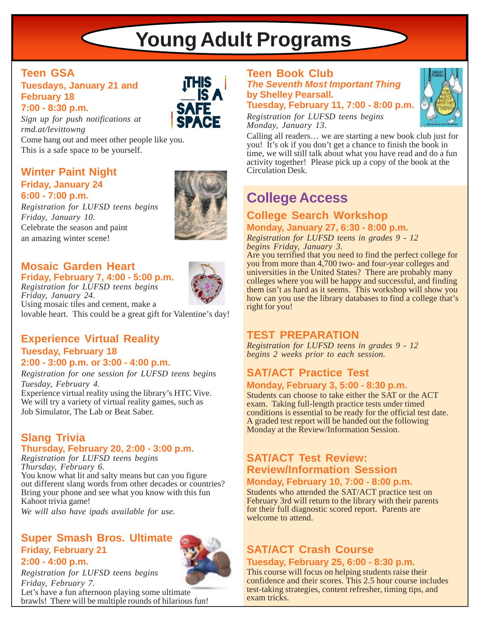# **Young Adult Programs**

#### **Teen GSA Tuesdays, January 21 and February 18 7:00 - 8:30 p.m.**

*Sign up for push notifications at rmd.at/levittowng*

Come hang out and meet other people like you. This is a safe space to be yourself.

#### **Winter Paint Night Friday, January 24 6:00 - 7:00 p.m.**

*Registration for LUFSD teens begins Friday, January 10.* Celebrate the season and paint an amazing winter scene!

#### **Mosaic Garden Heart Friday, February 7, 4:00 - 5:00 p.m.**

*Registration for LUFSD teens begins Friday, January 24.*

Using mosaic tiles and cement, make a lovable heart. This could be a great gift for Valentine's day!

#### **Experience Virtual Reality Tuesday, February 18 2:00 - 3:00 p.m. or 3:00 - 4:00 p.m.**

*Registration for one session for LUFSD teens begins Tuesday, February 4.*

Experience virtual reality using the library's HTC Vive. We will try a variety of virtual reality games, such as Job Simulator, The Lab or Beat Saber.

#### **Slang Trivia Thursday, February 20, 2:00 - 3:00 p.m.**

*Registration for LUFSD teens begins Thursday, February 6.* You know what lit and salty means but can you figure out different slang words from other decades or countries? Bring your phone and see what you know with this fun Kahoot trivia game!

*We will also have ipads available for use.*

#### **Super Smash Bros. Ultimate Friday, February 21 2:00 - 4:00 p.m.**



*Registration for LUFSD teens begins Friday, February 7.* Let's have a fun afternoon playing some ultimate brawls! There will be multiple rounds of hilarious fun!

#### **Teen Book Club** *The Seventh Most Important Thing* **by Shelley Pearsall.**

**Tuesday, February 11, 7:00 - 8:00 p.m.**

*Registration for LUFSD teens begins Monday, January 13.*

Calling all readers… we are starting a new book club just for you! It's ok if you don't get a chance to finish the book in time, we will still talk about what you have read and do a fun activity together! Please pick up a copy of the book at the Circulation Desk.

# **College Access**

# **College Search Workshop**

**Monday, January 27, 6:30 - 8:00 p.m.**

*Registration for LUFSD teens in grades 9 - 12 begins Friday, January 3.*

Are you terrified that you need to find the perfect college for you from more than 4,700 two- and four-year colleges and universities in the United States? There are probably many colleges where you will be happy and successful, and finding them isn't as hard as it seems. This workshop will show you how can you use the library databases to find a college that's right for you!

## **TEST PREPARATION**

*Registration for LUFSD teens in grades 9 - 12 begins 2 weeks prior to each session.*

# **SAT/ACT Practice Test**

#### **Monday, February 3, 5:00 - 8:30 p.m.**

Students can choose to take either the SAT or the ACT exam. Taking full-length practice tests under timed conditions is essential to be ready for the official test date. A graded test report will be handed out the following Monday at the Review/Information Session.

# **SAT/ACT Test Review: Review/Information Session**

#### **Monday, February 10, 7:00 - 8:00 p.m.**

Students who attended the SAT/ACT practice test on February 3rd will return to the library with their parents for their full diagnostic scored report. Parents are welcome to attend.

## **SAT/ACT Crash Course Tuesday, February 25, 6:00 - 8:30 p.m.**

This course will focus on helping students raise their confidence and their scores. This 2.5 hour course includes test-taking strategies, content refresher, timing tips, and exam tricks.





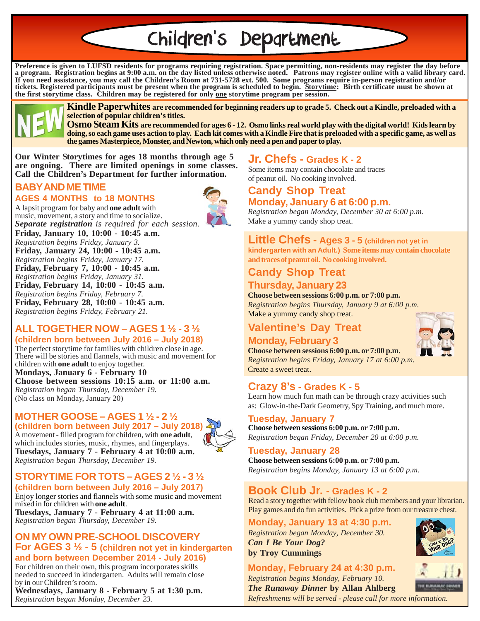# Children's Department

**Preference is given to LUFSD residents for programs requiring registration. Space permitting, non-residents may register the day before a program. Registration begins at 9:00 a.m. on the day listed unless otherwise noted. Patrons may register online with a valid library card. If you need assistance, you may call the Children's Room at 731-5728 ext. 500. Some programs require in-person registration and/or tickets. Registered participants must be present when the program is scheduled to begin. Storytime: Birth certificate must be shown at the first storytime class. Children may be registered for only one storytime program per session.**



**Kindle Paperwhites are recommended for beginning readers up to grade 5. Check out a Kindle, preloaded with a selection of popular children's titles.**

**Osmo Steam Kits are recommended for ages 6 - 12. Osmo links real world play with the digital world! Kids learn by doing, so each game uses action to play. Each kit comes with a Kindle Fire that is preloaded with a specific game, as well as the games Masterpiece, Monster, and Newton, which only need a pen and paper to play.**

**Our Winter Storytimes for ages 18 months through age 5 are ongoing. There are limited openings in some classes. Call the Children's Department for further information.**

#### **BABY AND ME TIME**

#### **AGES 4 MONTHS to 18 MONTHS**

A lapsit program for baby and **one adult** with music, movement, a story and time to socialize. *Separate registration is required for each session.*

**Friday, January 10, 10:00 - 10:45 a.m.** *Registration begins Friday, January 3.* **Friday, January 24, 10:00 - 10:45 a.m.** *Registration begins Friday, January 17.* **Friday, February 7, 10:00 - 10:45 a.m.** *Registration begins Friday, January 31.* **Friday, February 14, 10:00 - 10:45 a.m.** *Registration begins Friday, February 7.* **Friday, February 28, 10:00 - 10:45 a.m.** *Registration begins Friday, February 21.*

#### **ALL TOGETHER NOW – AGES 1 ½ - 3 ½ (children born between July 2016 – July 2018)**

The perfect storytime for families with children close in age. There will be stories and flannels, with music and movement for children with **one adult** to enjoy together. **Mondays, January 6 - February 10 Choose between sessions 10:15 a.m. or 11:00 a.m.** *Registration began Thursday, December 19.* (No class on Monday, January 20)

#### **MOTHER GOOSE – AGES 1 ½ - 2 ½**

**(children born between July 2017 – July 2018)** A movement - filled program for children, with **one adult**, which includes stories, music, rhymes, and fingerplays. **Tuesdays, January 7 - February 4 at 10:00 a.m.** *Registration began Thursday, December 19.*



## **STORYTIME FOR TOTS – AGES 2 ½ - 3 ½**

**(children born between July 2016 – July 2017)**

Enjoy longer stories and flannels with some music and movement mixed in for children with **one adult**.

**Tuesdays, January 7 - February 4 at 11:00 a.m.** *Registration began Thursday, December 19.*

#### **ON MY OWN PRE-SCHOOL DISCOVERY For AGES 3 ½ - 5 (children not yet in kindergarten and born between December 2014 - July 2016)**

For children on their own, this program incorporates skills needed to succeed in kindergarten. Adults will remain close by in our Children's room.

#### **Wednesdays, January 8 - February 5 at 1:30 p.m.** *Registration began Monday, December 23.*

## **Jr. Chefs - Grades K - 2**

Some items may contain chocolate and traces of peanut oil. No cooking involved.

## **Candy Shop Treat Monday, January 6 at 6:00 p.m.**

*Registration began Monday, December 30 at 6:00 p.m.* Make a yummy candy shop treat.

#### **Little Chefs - Ages 3 - 5 (children not yet in kindergarten with an Adult.) Some items may contain chocolate and traces of peanut oil. No cooking involved.**

## **Candy Shop Treat**

#### **Thursday, January 23**

**Choose between sessions 6:00 p.m. or 7:00 p.m.** *Registration begins Thursday, January 9 at 6:00 p.m.* Make a yummy candy shop treat.

## **Valentine's Day Treat Monday, February 3**

**Choose between sessions 6:00 p.m. or 7:00 p.m.** *Registration begins Friday, January 17 at 6:00 p.m.*

Create a sweet treat.

#### **Crazy 8's - Grades K - 5**

Learn how much fun math can be through crazy activities such as: Glow-in-the-Dark Geometry, Spy Training, and much more.

#### **Tuesday, January 7**

*Registration began Friday, December 20 at 6:00 p.m.* **Choose between sessions 6:00 p.m. or 7:00 p.m.**

#### **Tuesday, January 28**

*Registration begins Monday, January 13 at 6:00 p.m.* **Choose between sessions 6:00 p.m. or 7:00 p.m.**

## **Book Club Jr. - Grades K - 2**

Read a story together with fellow book club members and your librarian. Play games and do fun activities. Pick a prize from our treasure chest.

**Monday, January 13 at 4:30 p.m.**

*Registration began Monday, December 30. Can I Be Your Dog?* **by Troy Cummings**

#### **Monday, February 24 at 4:30 p.m.**

*Registration begins Monday, February 10. The Runaway Dinner* **by Allan Ahlberg**

*Refreshments will be served - please call for more information.*







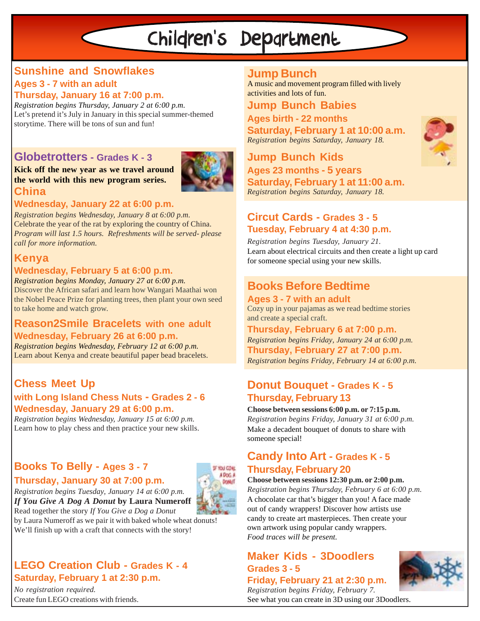# Children's Department

#### **Sunshine and Snowflakes Ages 3 - 7 with an adult Thursday, January 16 at 7:00 p.m.**

*Registration begins Thursday, January 2 at 6:00 p.m.* Let's pretend it's July in January in this special summer-themed storytime. There will be tons of sun and fun!

#### **Globetrotters - Grades K - 3**

**Kick off the new year as we travel around the world with this new program series. China**



#### **Wednesday, January 22 at 6:00 p.m.**

*Registration begins Wednesday, January 8 at 6:00 p.m.* Celebrate the year of the rat by exploring the country of China. *Program will last 1.5 hours. Refreshments will be served- please call for more information.*

# **Kenya**

#### **Wednesday, February 5 at 6:00 p.m.**

*Registration begins Monday, January 27 at 6:00 p.m.* Discover the African safari and learn how Wangari Maathai won the Nobel Peace Prize for planting trees, then plant your own seed to take home and watch grow.

#### **Reason2Smile Bracelets with one adult Wednesday, February 26 at 6:00 p.m.**

*Registration begins Wednesday, February 12 at 6:00 p.m.* Learn about Kenya and create beautiful paper bead bracelets.

#### **Chess Meet Up with Long Island Chess Nuts - Grades 2 - 6 Wednesday, January 29 at 6:00 p.m.**

*Registration begins Wednesday, January 15 at 6:00 p.m.* Learn how to play chess and then practice your new skills.

# **Books To Belly - Ages 3 - 7**

#### **Thursday, January 30 at 7:00 p.m.**

*Registration begins Tuesday, January 14 at 6:00 p.m. If You Give A Dog A Donut* **by Laura Numeroff**



Read together the story *If You Give a Dog a Donut* by Laura Numeroff as we pair it with baked whole wheat donuts! We'll finish up with a craft that connects with the story!

# **LEGO Creation Club - Grades K - 4 Saturday, February 1 at 2:30 p.m.**

*No registration required.* Create fun LEGO creations with friends.

## **Jump Bunch**

A music and movement program filled with lively activities and lots of fun.

**Jump Bunch Babies Ages birth - 22 months Saturday, February 1 at 10:00 a.m.** *Registration begins Saturday, January 18.*

**Jump Bunch Kids Ages 23 months - 5 years Saturday, February 1 at 11:00 a.m.** *Registration begins Saturday, January 18.*

### **Circut Cards - Grades 3 - 5 Tuesday, February 4 at 4:30 p.m.**

*Registration begins Tuesday, January 21.* Learn about electrical circuits and then create a light up card for someone special using your new skills.

# **Books Before Bedtime**

**Ages 3 - 7 with an adult** Cozy up in your pajamas as we read bedtime stories and create a special craft.

**Thursday, February 6 at 7:00 p.m.** *Registration begins Friday, January 24 at 6:00 p.m.* **Thursday, February 27 at 7:00 p.m.** *Registration begins Friday, February 14 at 6:00 p.m.*

#### **Donut Bouquet - Grades K - 5 Thursday, February 13**

**Choose between sessions 6:00 p.m. or 7:15 p.m.** *Registration begins Friday, January 31 at 6:00 p.m.* Make a decadent bouquet of donuts to share with someone special!

## **Candy Into Art - Grades K - 5 Thursday, February 20**

#### **Choose between sessions 12:30 p.m. or 2:00 p.m.**

*Registration begins Thursday, February 6 at 6:00 p.m.* A chocolate car that's bigger than you! A face made out of candy wrappers! Discover how artists use candy to create art masterpieces. Then create your own artwork using popular candy wrappers. *Food traces will be present.*

# **Maker Kids - 3Doodlers Grades 3 - 5**

**Friday, February 21 at 2:30 p.m.** *Registration begins Friday, February 7.* See what you can create in 3D using our 3Doodlers.